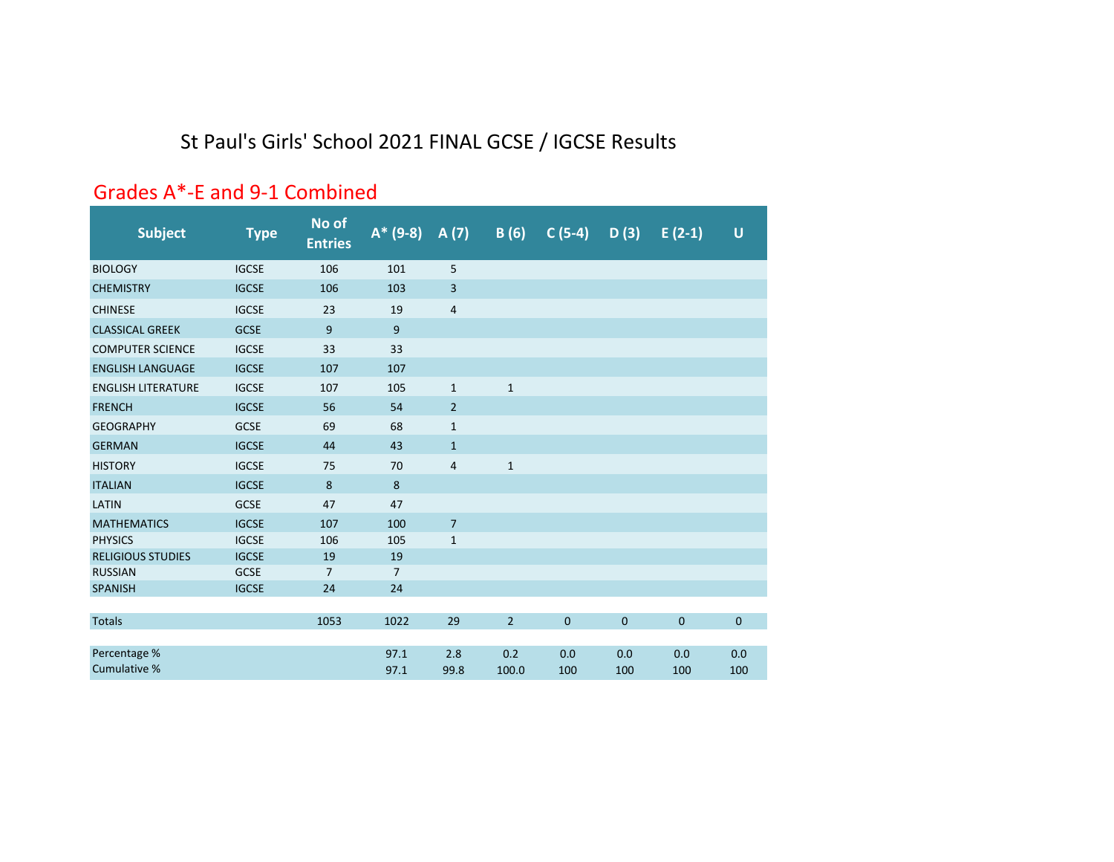# St Paul's Girls' School 2021 FINAL GCSE / IGCSE Results

### Grades A\*‐E and 9‐1 Combined

| <b>Subject</b>               | <b>Type</b>  | No of<br><b>Entries</b> | $A* (9-8)$     | A(7)                    | B(6)           | $C(5-4)$    | D(3)         | $E(2-1)$    | $\cup$      |
|------------------------------|--------------|-------------------------|----------------|-------------------------|----------------|-------------|--------------|-------------|-------------|
| <b>BIOLOGY</b>               | <b>IGCSE</b> | 106                     | 101            | 5                       |                |             |              |             |             |
| <b>CHEMISTRY</b>             | <b>IGCSE</b> | 106                     | 103            | $\mathsf{3}$            |                |             |              |             |             |
| <b>CHINESE</b>               | <b>IGCSE</b> | 23                      | 19             | $\overline{4}$          |                |             |              |             |             |
| <b>CLASSICAL GREEK</b>       | <b>GCSE</b>  | 9                       | 9              |                         |                |             |              |             |             |
| <b>COMPUTER SCIENCE</b>      | <b>IGCSE</b> | 33                      | 33             |                         |                |             |              |             |             |
| <b>ENGLISH LANGUAGE</b>      | <b>IGCSE</b> | 107                     | 107            |                         |                |             |              |             |             |
| <b>ENGLISH LITERATURE</b>    | <b>IGCSE</b> | 107                     | 105            | $1\,$                   | $1\,$          |             |              |             |             |
| <b>FRENCH</b>                | <b>IGCSE</b> | 56                      | 54             | $\overline{2}$          |                |             |              |             |             |
| <b>GEOGRAPHY</b>             | <b>GCSE</b>  | 69                      | 68             | $\mathbf{1}$            |                |             |              |             |             |
| <b>GERMAN</b>                | <b>IGCSE</b> | 44                      | 43             | $\mathbf{1}$            |                |             |              |             |             |
| <b>HISTORY</b>               | <b>IGCSE</b> | 75                      | 70             | $\overline{\mathbf{4}}$ | $\mathbf 1$    |             |              |             |             |
| <b>ITALIAN</b>               | <b>IGCSE</b> | 8                       | 8              |                         |                |             |              |             |             |
| LATIN                        | <b>GCSE</b>  | 47                      | 47             |                         |                |             |              |             |             |
| <b>MATHEMATICS</b>           | <b>IGCSE</b> | 107                     | 100            | $\overline{7}$          |                |             |              |             |             |
| <b>PHYSICS</b>               | <b>IGCSE</b> | 106                     | 105            | $\mathbf 1$             |                |             |              |             |             |
| <b>RELIGIOUS STUDIES</b>     | <b>IGCSE</b> | 19                      | 19             |                         |                |             |              |             |             |
| <b>RUSSIAN</b>               | <b>GCSE</b>  | $\overline{7}$          | $\overline{7}$ |                         |                |             |              |             |             |
| <b>SPANISH</b>               | <b>IGCSE</b> | 24                      | 24             |                         |                |             |              |             |             |
| <b>Totals</b>                |              | 1053                    | 1022           | 29                      | $\overline{2}$ | $\mathbf 0$ | $\mathbf{0}$ | $\mathbf 0$ | $\mathbf 0$ |
| Percentage %<br>Cumulative % |              |                         | 97.1<br>97.1   | 2.8<br>99.8             | 0.2<br>100.0   | 0.0<br>100  | 0.0<br>100   | 0.0<br>100  | 0.0<br>100  |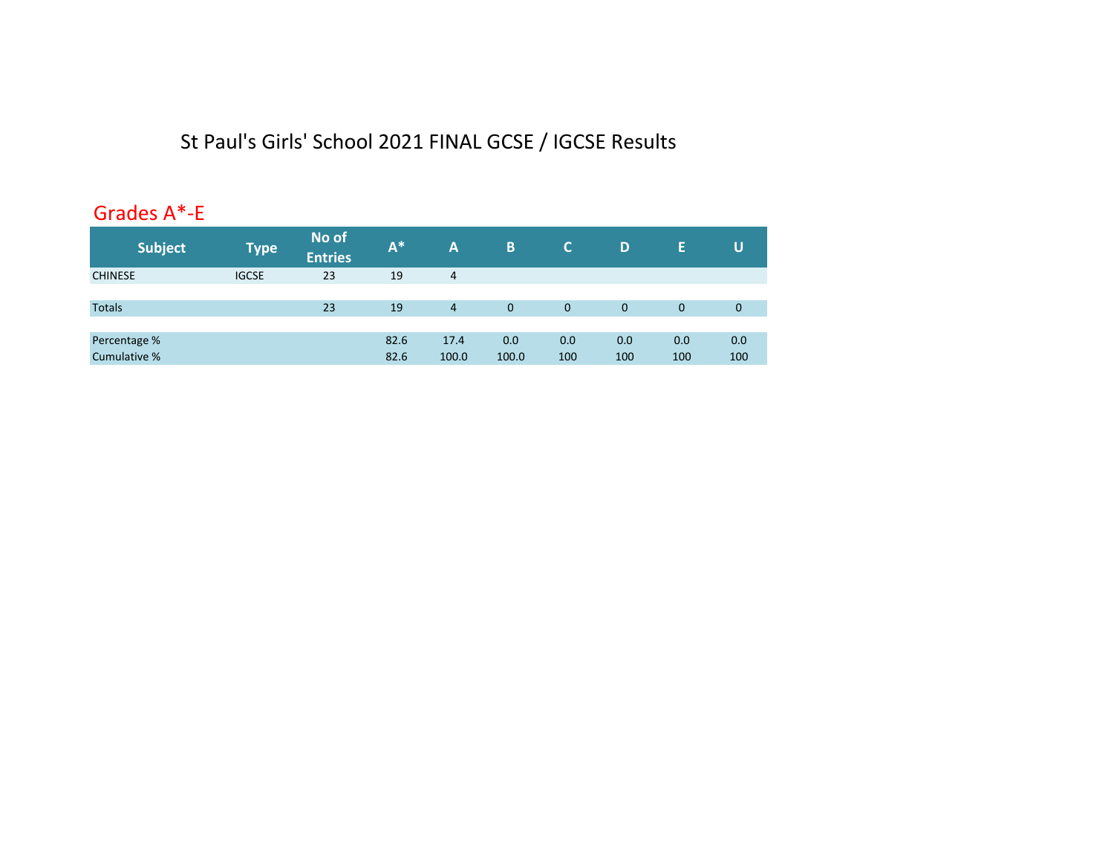# St Paul's Girls' School 2021 FINAL GCSE / IGCSE Results

### Grades A\*‐E

| <b>Subject</b> | <b>Type</b>  | No of<br><b>Entries</b> | A <sup>*</sup> | A              | B           | C.           | D   | Ε           | U           |
|----------------|--------------|-------------------------|----------------|----------------|-------------|--------------|-----|-------------|-------------|
| <b>CHINESE</b> | <b>IGCSE</b> | 23                      | 19             | 4              |             |              |     |             |             |
|                |              |                         |                |                |             |              |     |             |             |
| <b>Totals</b>  |              | 23                      | 19             | $\overline{4}$ | $\mathbf 0$ | $\mathbf{0}$ | 0   | $\mathbf 0$ | $\mathbf 0$ |
|                |              |                         |                |                |             |              |     |             |             |
| Percentage %   |              |                         | 82.6           | 17.4           | 0.0         | 0.0          | 0.0 | 0.0         | 0.0         |
| Cumulative %   |              |                         | 82.6           | 100.0          | 100.0       | 100          | 100 | 100         | 100         |